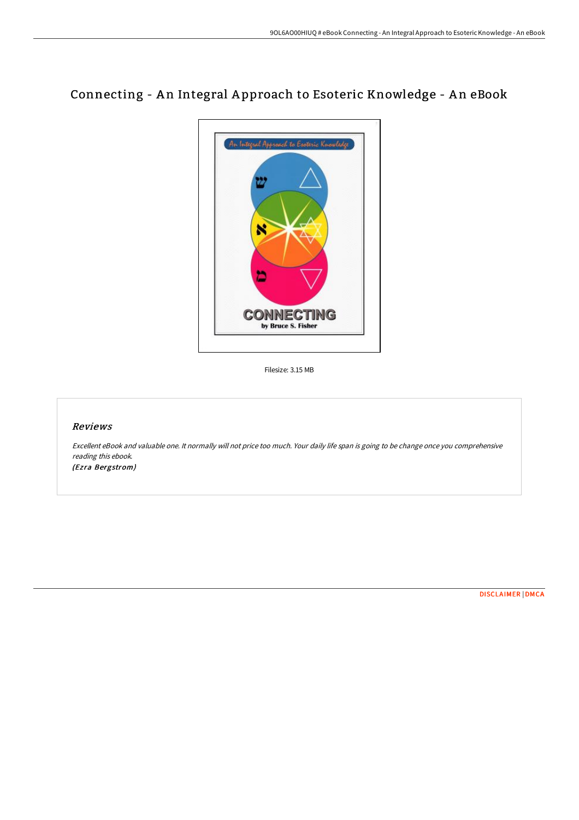## Connecting - An Integral Approach to Esoteric Knowledge - An eBook



Filesize: 3.15 MB

## Reviews

Excellent eBook and valuable one. It normally will not price too much. Your daily life span is going to be change once you comprehensive reading this ebook. (Ezra Bergstrom)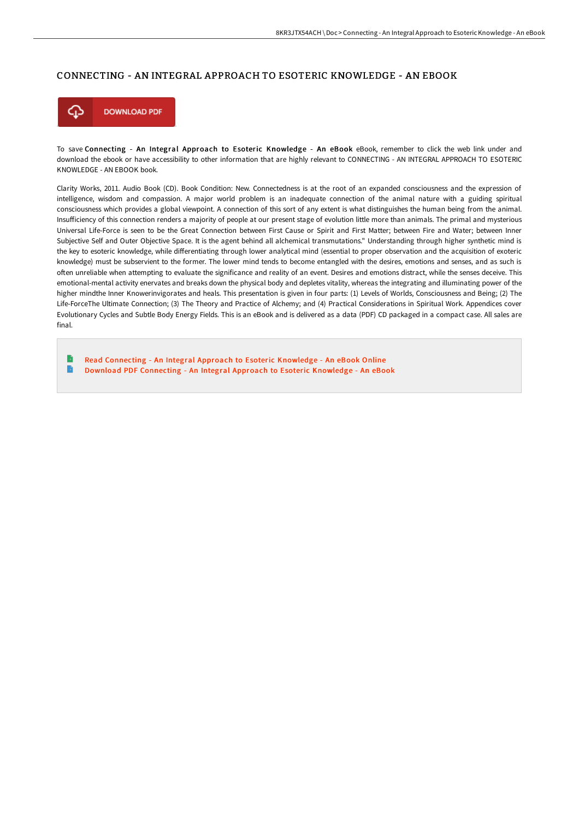## CONNECTING - AN INTEGRAL APPROACH TO ESOTERIC KNOWLEDGE - AN EBOOK



To save Connecting - An Integral Approach to Esoteric Knowledge - An eBook eBook, remember to click the web link under and download the ebook or have accessibility to other information that are highly relevant to CONNECTING - AN INTEGRAL APPROACH TO ESOTERIC KNOWLEDGE - AN EBOOK book.

Clarity Works, 2011. Audio Book (CD). Book Condition: New. Connectedness is at the root of an expanded consciousness and the expression of intelligence, wisdom and compassion. A major world problem is an inadequate connection of the animal nature with a guiding spiritual consciousness which provides a global viewpoint. A connection of this sort of any extent is what distinguishes the human being from the animal. Insufficiency of this connection renders a majority of people at our present stage of evolution little more than animals. The primal and mysterious Universal Life-Force is seen to be the Great Connection between First Cause or Spirit and First Matter; between Fire and Water; between Inner Subjective Self and Outer Objective Space. It is the agent behind all alchemical transmutations." Understanding through higher synthetic mind is the key to esoteric knowledge, while differentiating through lower analytical mind (essential to proper observation and the acquisition of exoteric knowledge) must be subservient to the former. The lower mind tends to become entangled with the desires, emotions and senses, and as such is often unreliable when attempting to evaluate the significance and reality of an event. Desires and emotions distract, while the senses deceive. This emotional-mental activity enervates and breaks down the physical body and depletes vitality, whereas the integrating and illuminating power of the higher mindthe Inner Knowerinvigorates and heals. This presentation is given in four parts: (1) Levels of Worlds, Consciousness and Being; (2) The Life-ForceThe Ultimate Connection; (3) The Theory and Practice of Alchemy; and (4) Practical Considerations in Spiritual Work. Appendices cover Evolutionary Cycles and Subtle Body Energy Fields. This is an eBook and is delivered as a data (PDF) CD packaged in a compact case. All sales are final.

Read [Connecting](http://digilib.live/connecting-an-integral-approach-to-esoteric-know.html) - An Integral Approach to Esoteric Knowledge - An eBook Online B Download PDF [Connecting](http://digilib.live/connecting-an-integral-approach-to-esoteric-know.html) - An Integral Approach to Esoteric Knowledge - An eBook